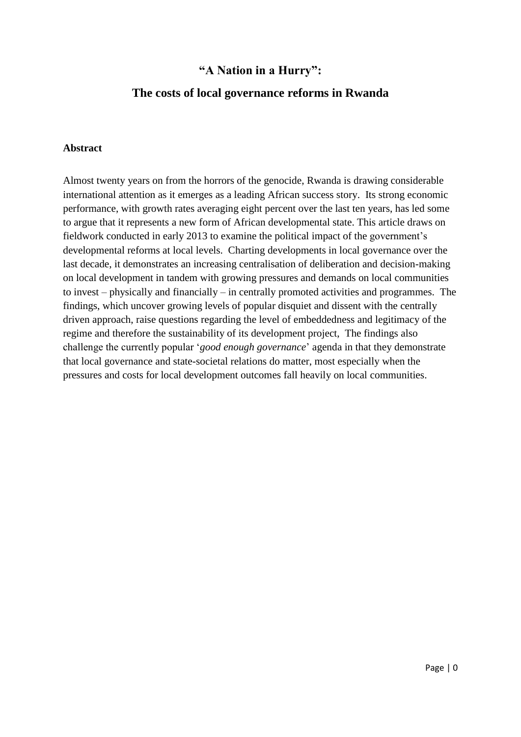# **"A Nation in a Hurry":**

# **The costs of local governance reforms in Rwanda**

### **Abstract**

Almost twenty years on from the horrors of the genocide, Rwanda is drawing considerable international attention as it emerges as a leading African success story. Its strong economic performance, with growth rates averaging eight percent over the last ten years, has led some to argue that it represents a new form of African developmental state. This article draws on fieldwork conducted in early 2013 to examine the political impact of the government"s developmental reforms at local levels. Charting developments in local governance over the last decade, it demonstrates an increasing centralisation of deliberation and decision-making on local development in tandem with growing pressures and demands on local communities to invest – physically and financially – in centrally promoted activities and programmes. The findings, which uncover growing levels of popular disquiet and dissent with the centrally driven approach, raise questions regarding the level of embeddedness and legitimacy of the regime and therefore the sustainability of its development project, The findings also challenge the currently popular "*good enough governance*" agenda in that they demonstrate that local governance and state-societal relations do matter, most especially when the pressures and costs for local development outcomes fall heavily on local communities.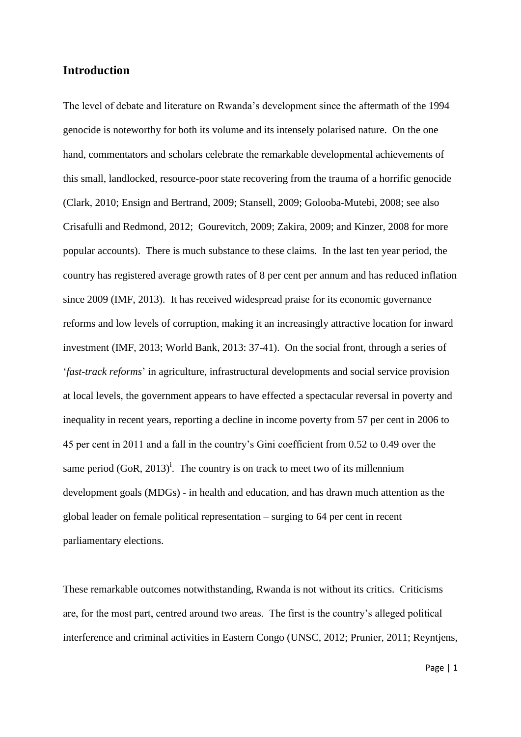### **Introduction**

The level of debate and literature on Rwanda"s development since the aftermath of the 1994 genocide is noteworthy for both its volume and its intensely polarised nature. On the one hand, commentators and scholars celebrate the remarkable developmental achievements of this small, landlocked, resource-poor state recovering from the trauma of a horrific genocide (Clark, 2010; Ensign and Bertrand, 2009; Stansell, 2009; Golooba-Mutebi, 2008; see also Crisafulli and Redmond, 2012; Gourevitch, 2009; Zakira, 2009; and Kinzer, 2008 for more popular accounts). There is much substance to these claims. In the last ten year period, the country has registered average growth rates of 8 per cent per annum and has reduced inflation since 2009 (IMF, 2013). It has received widespread praise for its economic governance reforms and low levels of corruption, making it an increasingly attractive location for inward investment (IMF, 2013; World Bank, 2013: 37-41). On the social front, through a series of "*fast-track reforms*" in agriculture, infrastructural developments and social service provision at local levels, the government appears to have effected a spectacular reversal in poverty and inequality in recent years, reporting a decline in income poverty from 57 per cent in 2006 to 45 per cent in 2011 and a fall in the country"s Gini coefficient from 0.52 to 0.49 over the same period  $(GoR, 2013)^i$ . The country is on track to meet two of its millennium development goals (MDGs) - in health and education, and has drawn much attention as the global leader on female political representation – surging to 64 per cent in recent parliamentary elections.

These remarkable outcomes notwithstanding, Rwanda is not without its critics. Criticisms are, for the most part, centred around two areas. The first is the country"s alleged political interference and criminal activities in Eastern Congo (UNSC, 2012; Prunier, 2011; Reyntjens,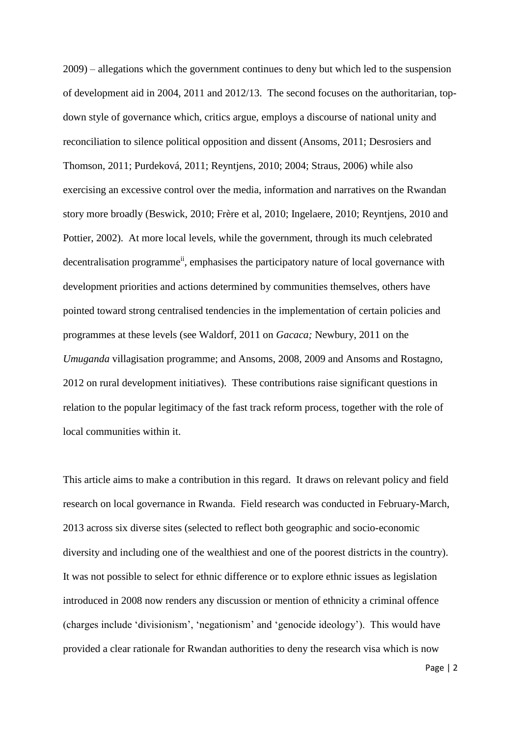2009) – allegations which the government continues to deny but which led to the suspension of development aid in 2004, 2011 and 2012/13. The second focuses on the authoritarian, topdown style of governance which, critics argue, employs a discourse of national unity and reconciliation to silence political opposition and dissent (Ansoms, 2011; Desrosiers and Thomson, 2011; Purdeková, 2011; Reyntjens, 2010; 2004; Straus, 2006) while also exercising an excessive control over the media, information and narratives on the Rwandan story more broadly (Beswick, 2010; Frère et al, 2010; Ingelaere, 2010; Reyntjens, 2010 and Pottier, 2002). At more local levels, while the government, through its much celebrated decentralisation programme<sup>ii</sup>, emphasises the participatory nature of local governance with development priorities and actions determined by communities themselves, others have pointed toward strong centralised tendencies in the implementation of certain policies and programmes at these levels (see Waldorf, 2011 on *Gacaca;* Newbury, 2011 on the *Umuganda* villagisation programme; and Ansoms, 2008, 2009 and Ansoms and Rostagno, 2012 on rural development initiatives). These contributions raise significant questions in relation to the popular legitimacy of the fast track reform process, together with the role of local communities within it.

This article aims to make a contribution in this regard. It draws on relevant policy and field research on local governance in Rwanda. Field research was conducted in February-March, 2013 across six diverse sites (selected to reflect both geographic and socio-economic diversity and including one of the wealthiest and one of the poorest districts in the country). It was not possible to select for ethnic difference or to explore ethnic issues as legislation introduced in 2008 now renders any discussion or mention of ethnicity a criminal offence (charges include "divisionism", "negationism" and "genocide ideology"). This would have provided a clear rationale for Rwandan authorities to deny the research visa which is now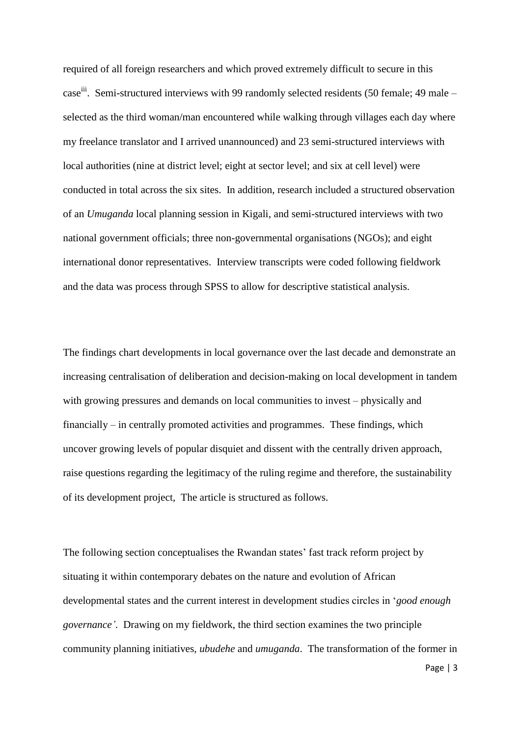required of all foreign researchers and which proved extremely difficult to secure in this case<sup>iii</sup>. Semi-structured interviews with 99 randomly selected residents (50 female; 49 male – selected as the third woman/man encountered while walking through villages each day where my freelance translator and I arrived unannounced) and 23 semi-structured interviews with local authorities (nine at district level; eight at sector level; and six at cell level) were conducted in total across the six sites. In addition, research included a structured observation of an *Umuganda* local planning session in Kigali, and semi-structured interviews with two national government officials; three non-governmental organisations (NGOs); and eight international donor representatives. Interview transcripts were coded following fieldwork and the data was process through SPSS to allow for descriptive statistical analysis.

The findings chart developments in local governance over the last decade and demonstrate an increasing centralisation of deliberation and decision-making on local development in tandem with growing pressures and demands on local communities to invest – physically and financially – in centrally promoted activities and programmes. These findings, which uncover growing levels of popular disquiet and dissent with the centrally driven approach, raise questions regarding the legitimacy of the ruling regime and therefore, the sustainability of its development project, The article is structured as follows.

The following section conceptualises the Rwandan states' fast track reform project by situating it within contemporary debates on the nature and evolution of African developmental states and the current interest in development studies circles in "*good enough governance"*. Drawing on my fieldwork, the third section examines the two principle community planning initiatives, *ubudehe* and *umuganda*. The transformation of the former in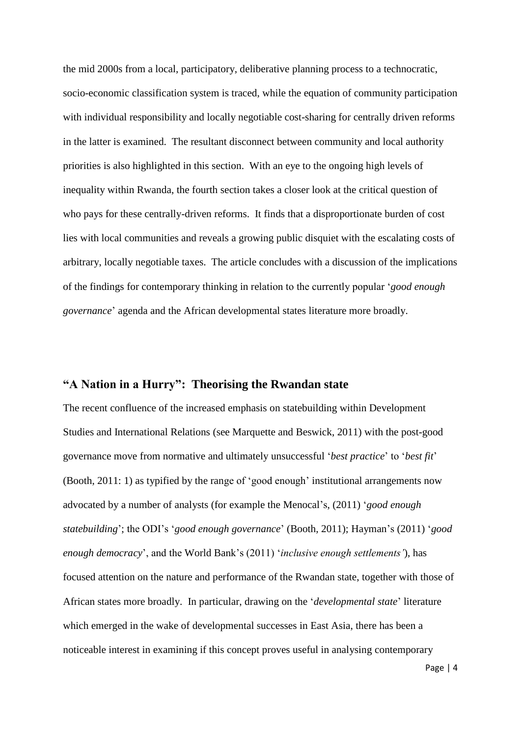the mid 2000s from a local, participatory, deliberative planning process to a technocratic, socio-economic classification system is traced, while the equation of community participation with individual responsibility and locally negotiable cost-sharing for centrally driven reforms in the latter is examined. The resultant disconnect between community and local authority priorities is also highlighted in this section. With an eye to the ongoing high levels of inequality within Rwanda, the fourth section takes a closer look at the critical question of who pays for these centrally-driven reforms. It finds that a disproportionate burden of cost lies with local communities and reveals a growing public disquiet with the escalating costs of arbitrary, locally negotiable taxes. The article concludes with a discussion of the implications of the findings for contemporary thinking in relation to the currently popular "*good enough governance*" agenda and the African developmental states literature more broadly.

## **"A Nation in a Hurry": Theorising the Rwandan state**

The recent confluence of the increased emphasis on statebuilding within Development Studies and International Relations (see Marquette and Beswick, 2011) with the post-good governance move from normative and ultimately unsuccessful "*best practice*" to "*best fit*" (Booth, 2011: 1) as typified by the range of "good enough" institutional arrangements now advocated by a number of analysts (for example the Menocal"s, (2011) "*good enough statebuilding*"; the ODI"s "*good enough governance*" (Booth, 2011); Hayman"s (2011) "*good enough democracy*", and the World Bank"s (2011) "*inclusive enough settlements"*), has focused attention on the nature and performance of the Rwandan state, together with those of African states more broadly. In particular, drawing on the "*developmental state*" literature which emerged in the wake of developmental successes in East Asia, there has been a noticeable interest in examining if this concept proves useful in analysing contemporary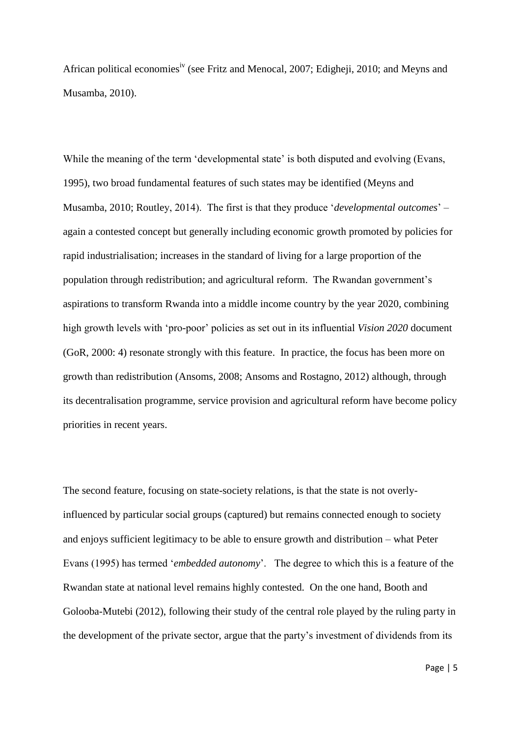African political economies<sup>iv</sup> (see Fritz and Menocal, 2007; Edigheji, 2010; and Meyns and Musamba, 2010).

While the meaning of the term 'developmental state' is both disputed and evolving (Evans, 1995), two broad fundamental features of such states may be identified (Meyns and Musamba, 2010; Routley, 2014). The first is that they produce "*developmental outcomes*" – again a contested concept but generally including economic growth promoted by policies for rapid industrialisation; increases in the standard of living for a large proportion of the population through redistribution; and agricultural reform. The Rwandan government"s aspirations to transform Rwanda into a middle income country by the year 2020, combining high growth levels with "pro-poor" policies as set out in its influential *Vision 2020* document (GoR, 2000: 4) resonate strongly with this feature. In practice, the focus has been more on growth than redistribution (Ansoms, 2008; Ansoms and Rostagno, 2012) although, through its decentralisation programme, service provision and agricultural reform have become policy priorities in recent years.

The second feature, focusing on state-society relations, is that the state is not overlyinfluenced by particular social groups (captured) but remains connected enough to society and enjoys sufficient legitimacy to be able to ensure growth and distribution – what Peter Evans (1995) has termed "*embedded autonomy*". The degree to which this is a feature of the Rwandan state at national level remains highly contested. On the one hand, Booth and Golooba-Mutebi (2012), following their study of the central role played by the ruling party in the development of the private sector, argue that the party"s investment of dividends from its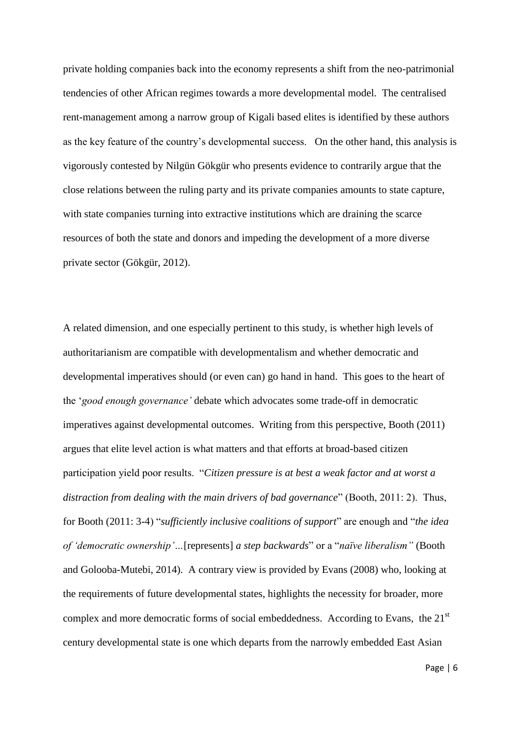private holding companies back into the economy represents a shift from the neo-patrimonial tendencies of other African regimes towards a more developmental model. The centralised rent-management among a narrow group of Kigali based elites is identified by these authors as the key feature of the country"s developmental success. On the other hand, this analysis is vigorously contested by Nilgün Gökgür who presents evidence to contrarily argue that the close relations between the ruling party and its private companies amounts to state capture, with state companies turning into extractive institutions which are draining the scarce resources of both the state and donors and impeding the development of a more diverse private sector (Gökgür, 2012).

A related dimension, and one especially pertinent to this study, is whether high levels of authoritarianism are compatible with developmentalism and whether democratic and developmental imperatives should (or even can) go hand in hand. This goes to the heart of the "*good enough governance"* debate which advocates some trade-off in democratic imperatives against developmental outcomes. Writing from this perspective, Booth (2011) argues that elite level action is what matters and that efforts at broad-based citizen participation yield poor results. "*Citizen pressure is at best a weak factor and at worst a distraction from dealing with the main drivers of bad governance*" (Booth, 2011: 2). Thus, for Booth (2011: 3-4) "*sufficiently inclusive coalitions of support*" are enough and "*the idea of "democratic ownership"…*[represents] *a step backwards*" or a "*naïve liberalism"* (Booth and Golooba-Mutebi, 2014)*.* A contrary view is provided by Evans (2008) who, looking at the requirements of future developmental states, highlights the necessity for broader, more complex and more democratic forms of social embeddedness. According to Evans, the 21<sup>st</sup> century developmental state is one which departs from the narrowly embedded East Asian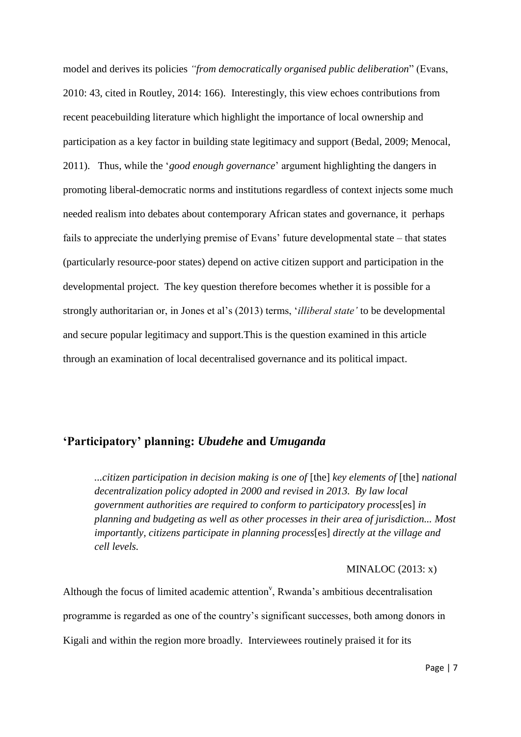model and derives its policies *"from democratically organised public deliberation*" (Evans, 2010: 43, cited in Routley, 2014: 166). Interestingly, this view echoes contributions from recent peacebuilding literature which highlight the importance of local ownership and participation as a key factor in building state legitimacy and support (Bedal, 2009; Menocal, 2011). Thus, while the "*good enough governance*" argument highlighting the dangers in promoting liberal-democratic norms and institutions regardless of context injects some much needed realism into debates about contemporary African states and governance, it perhaps fails to appreciate the underlying premise of Evans' future developmental state – that states (particularly resource-poor states) depend on active citizen support and participation in the developmental project. The key question therefore becomes whether it is possible for a strongly authoritarian or, in Jones et al"s (2013) terms, "*illiberal state"* to be developmental and secure popular legitimacy and support.This is the question examined in this article through an examination of local decentralised governance and its political impact.

## **"Participatory" planning:** *Ubudehe* **and** *Umuganda*

*...citizen participation in decision making is one of* [the] *key elements of* [the] *national decentralization policy adopted in 2000 and revised in 2013. By law local government authorities are required to conform to participatory process*[es] *in planning and budgeting as well as other processes in their area of jurisdiction... Most importantly, citizens participate in planning process*[es] *directly at the village and cell levels.*

#### MINALOC (2013: x)

Although the focus of limited academic attention<sup>v</sup>, Rwanda's ambitious decentralisation programme is regarded as one of the country"s significant successes, both among donors in Kigali and within the region more broadly. Interviewees routinely praised it for its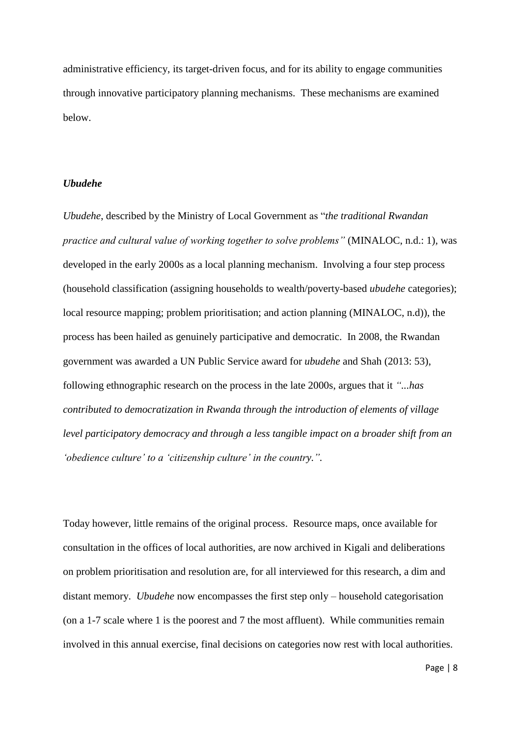administrative efficiency, its target-driven focus, and for its ability to engage communities through innovative participatory planning mechanisms. These mechanisms are examined below.

#### *Ubudehe*

*Ubudehe*, described by the Ministry of Local Government as "*the traditional Rwandan practice and cultural value of working together to solve problems"* (MINALOC, n.d.: 1)*,* was developed in the early 2000s as a local planning mechanism. Involving a four step process (household classification (assigning households to wealth/poverty-based *ubudehe* categories); local resource mapping; problem prioritisation; and action planning (MINALOC, n.d)), the process has been hailed as genuinely participative and democratic. In 2008, the Rwandan government was awarded a UN Public Service award for *ubudehe* and Shah (2013: 53), following ethnographic research on the process in the late 2000s, argues that it *"...has contributed to democratization in Rwanda through the introduction of elements of village level participatory democracy and through a less tangible impact on a broader shift from an*  'obedience culture' to a 'citizenship culture' in the country.".

Today however, little remains of the original process. Resource maps, once available for consultation in the offices of local authorities, are now archived in Kigali and deliberations on problem prioritisation and resolution are, for all interviewed for this research, a dim and distant memory. *Ubudehe* now encompasses the first step only – household categorisation (on a 1-7 scale where 1 is the poorest and 7 the most affluent). While communities remain involved in this annual exercise, final decisions on categories now rest with local authorities.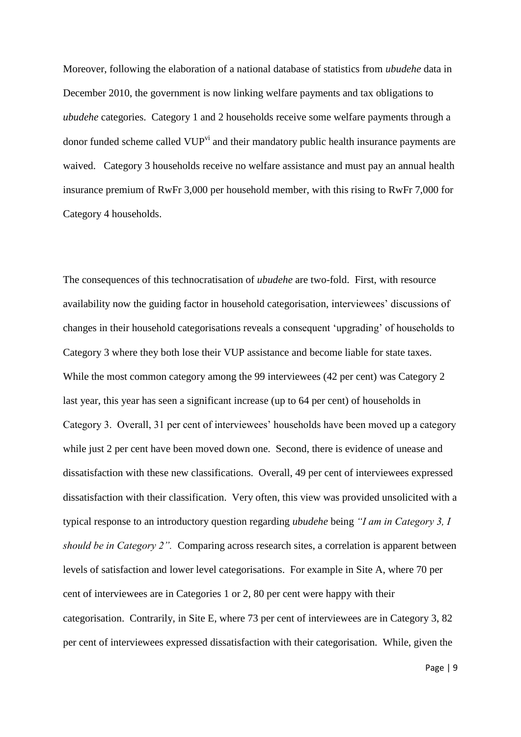Moreover, following the elaboration of a national database of statistics from *ubudehe* data in December 2010, the government is now linking welfare payments and tax obligations to *ubudehe* categories. Category 1 and 2 households receive some welfare payments through a donor funded scheme called VUP<sup>vi</sup> and their mandatory public health insurance payments are waived. Category 3 households receive no welfare assistance and must pay an annual health insurance premium of RwFr 3,000 per household member, with this rising to RwFr 7,000 for Category 4 households.

The consequences of this technocratisation of *ubudehe* are two-fold. First, with resource availability now the guiding factor in household categorisation, interviewees" discussions of changes in their household categorisations reveals a consequent "upgrading" of households to Category 3 where they both lose their VUP assistance and become liable for state taxes. While the most common category among the 99 interviewees (42 per cent) was Category 2 last year, this year has seen a significant increase (up to 64 per cent) of households in Category 3. Overall, 31 per cent of interviewees" households have been moved up a category while just 2 per cent have been moved down one. Second, there is evidence of unease and dissatisfaction with these new classifications. Overall, 49 per cent of interviewees expressed dissatisfaction with their classification. Very often, this view was provided unsolicited with a typical response to an introductory question regarding *ubudehe* being *"I am in Category 3, I should be in Category 2".* Comparing across research sites, a correlation is apparent between levels of satisfaction and lower level categorisations. For example in Site A, where 70 per cent of interviewees are in Categories 1 or 2, 80 per cent were happy with their categorisation. Contrarily, in Site E, where 73 per cent of interviewees are in Category 3, 82 per cent of interviewees expressed dissatisfaction with their categorisation. While, given the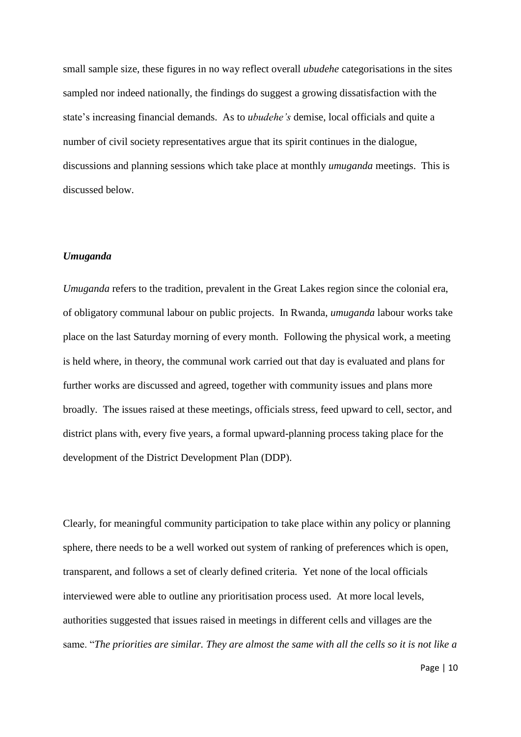small sample size, these figures in no way reflect overall *ubudehe* categorisations in the sites sampled nor indeed nationally, the findings do suggest a growing dissatisfaction with the state's increasing financial demands. As to *ubudehe's* demise, local officials and quite a number of civil society representatives argue that its spirit continues in the dialogue, discussions and planning sessions which take place at monthly *umuganda* meetings. This is discussed below.

#### *Umuganda*

*Umuganda* refers to the tradition, prevalent in the Great Lakes region since the colonial era, of obligatory communal labour on public projects. In Rwanda, *umuganda* labour works take place on the last Saturday morning of every month. Following the physical work, a meeting is held where, in theory, the communal work carried out that day is evaluated and plans for further works are discussed and agreed, together with community issues and plans more broadly. The issues raised at these meetings, officials stress, feed upward to cell, sector, and district plans with, every five years, a formal upward-planning process taking place for the development of the District Development Plan (DDP).

Clearly, for meaningful community participation to take place within any policy or planning sphere, there needs to be a well worked out system of ranking of preferences which is open, transparent, and follows a set of clearly defined criteria. Yet none of the local officials interviewed were able to outline any prioritisation process used. At more local levels, authorities suggested that issues raised in meetings in different cells and villages are the same. "*The priorities are similar. They are almost the same with all the cells so it is not like a*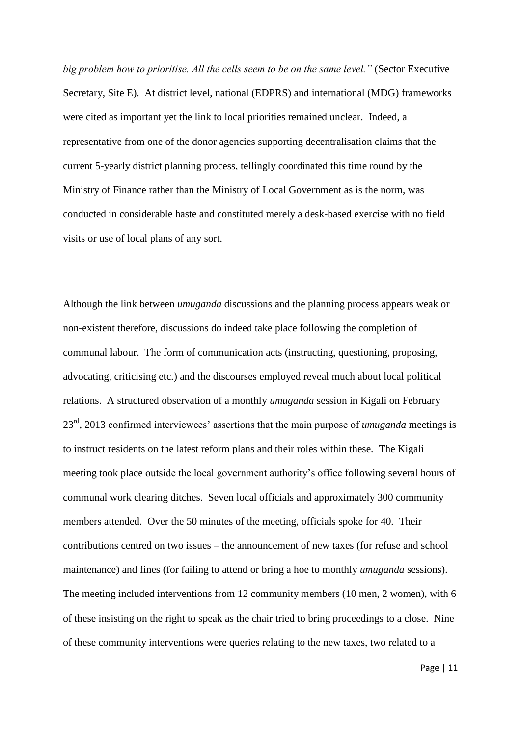*big problem how to prioritise. All the cells seem to be on the same level."* (Sector Executive Secretary, Site E). At district level, national (EDPRS) and international (MDG) frameworks were cited as important yet the link to local priorities remained unclear. Indeed, a representative from one of the donor agencies supporting decentralisation claims that the current 5-yearly district planning process, tellingly coordinated this time round by the Ministry of Finance rather than the Ministry of Local Government as is the norm, was conducted in considerable haste and constituted merely a desk-based exercise with no field visits or use of local plans of any sort.

Although the link between *umuganda* discussions and the planning process appears weak or non-existent therefore, discussions do indeed take place following the completion of communal labour. The form of communication acts (instructing, questioning, proposing, advocating, criticising etc.) and the discourses employed reveal much about local political relations. A structured observation of a monthly *umuganda* session in Kigali on February 23rd, 2013 confirmed interviewees" assertions that the main purpose of *umuganda* meetings is to instruct residents on the latest reform plans and their roles within these. The Kigali meeting took place outside the local government authority's office following several hours of communal work clearing ditches. Seven local officials and approximately 300 community members attended. Over the 50 minutes of the meeting, officials spoke for 40. Their contributions centred on two issues – the announcement of new taxes (for refuse and school maintenance) and fines (for failing to attend or bring a hoe to monthly *umuganda* sessions). The meeting included interventions from 12 community members (10 men, 2 women), with 6 of these insisting on the right to speak as the chair tried to bring proceedings to a close. Nine of these community interventions were queries relating to the new taxes, two related to a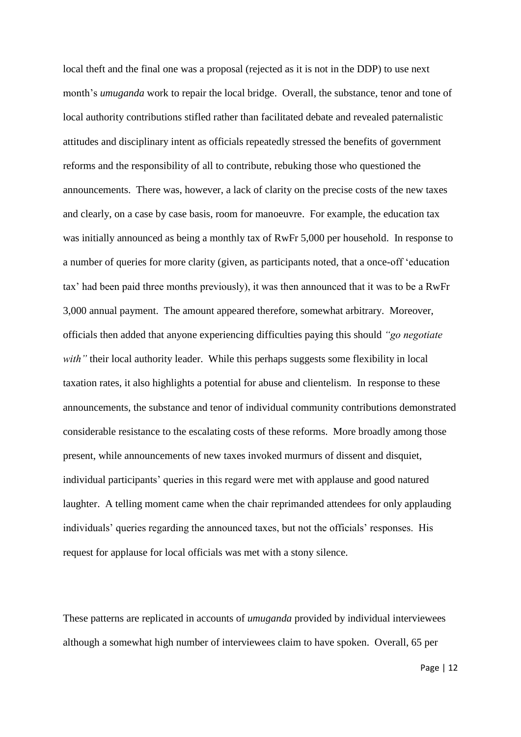local theft and the final one was a proposal (rejected as it is not in the DDP) to use next month's *umuganda* work to repair the local bridge. Overall, the substance, tenor and tone of local authority contributions stifled rather than facilitated debate and revealed paternalistic attitudes and disciplinary intent as officials repeatedly stressed the benefits of government reforms and the responsibility of all to contribute, rebuking those who questioned the announcements. There was, however, a lack of clarity on the precise costs of the new taxes and clearly, on a case by case basis, room for manoeuvre. For example, the education tax was initially announced as being a monthly tax of RwFr 5,000 per household. In response to a number of queries for more clarity (given, as participants noted, that a once-off "education tax" had been paid three months previously), it was then announced that it was to be a RwFr 3,000 annual payment. The amount appeared therefore, somewhat arbitrary. Moreover, officials then added that anyone experiencing difficulties paying this should *"go negotiate with*" their local authority leader. While this perhaps suggests some flexibility in local taxation rates, it also highlights a potential for abuse and clientelism. In response to these announcements, the substance and tenor of individual community contributions demonstrated considerable resistance to the escalating costs of these reforms. More broadly among those present, while announcements of new taxes invoked murmurs of dissent and disquiet, individual participants' queries in this regard were met with applause and good natured laughter. A telling moment came when the chair reprimanded attendees for only applauding individuals' queries regarding the announced taxes, but not the officials' responses. His request for applause for local officials was met with a stony silence.

These patterns are replicated in accounts of *umuganda* provided by individual interviewees although a somewhat high number of interviewees claim to have spoken. Overall, 65 per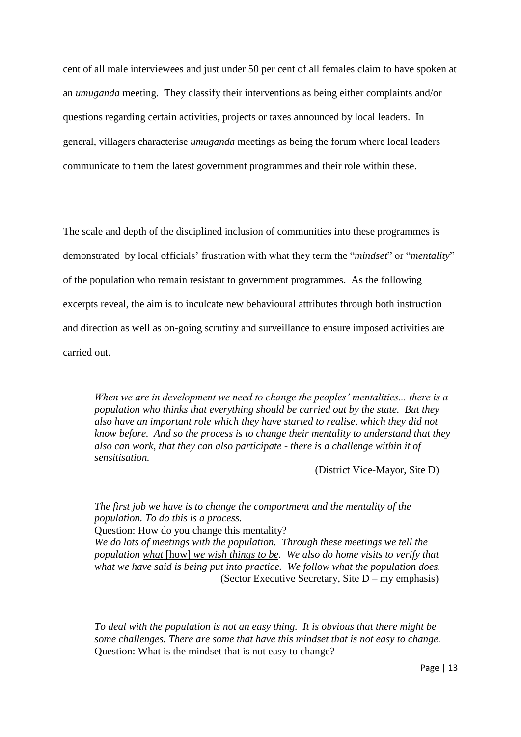cent of all male interviewees and just under 50 per cent of all females claim to have spoken at an *umuganda* meeting. They classify their interventions as being either complaints and/or questions regarding certain activities, projects or taxes announced by local leaders. In general, villagers characterise *umuganda* meetings as being the forum where local leaders communicate to them the latest government programmes and their role within these.

The scale and depth of the disciplined inclusion of communities into these programmes is demonstrated by local officials" frustration with what they term the "*mindset*" or "*mentality*" of the population who remain resistant to government programmes. As the following excerpts reveal, the aim is to inculcate new behavioural attributes through both instruction and direction as well as on-going scrutiny and surveillance to ensure imposed activities are carried out.

*When we are in development we need to change the peoples" mentalities... there is a population who thinks that everything should be carried out by the state. But they also have an important role which they have started to realise, which they did not know before. And so the process is to change their mentality to understand that they also can work, that they can also participate - there is a challenge within it of sensitisation.*

(District Vice-Mayor, Site D)

*The first job we have is to change the comportment and the mentality of the population. To do this is a process.*  Question: How do you change this mentality? *We do lots of meetings with the population. Through these meetings we tell the population what* [how] *we wish things to be.* We also do home visits to verify that *what we have said is being put into practice. We follow what the population does.* (Sector Executive Secretary, Site D – my emphasis)

*To deal with the population is not an easy thing. It is obvious that there might be some challenges. There are some that have this mindset that is not easy to change.*  Question: What is the mindset that is not easy to change?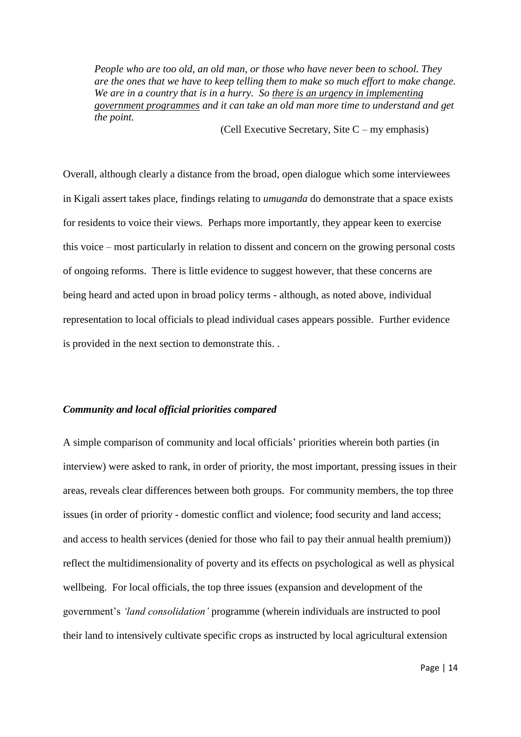*People who are too old, an old man, or those who have never been to school. They are the ones that we have to keep telling them to make so much effort to make change. We are in a country that is in a hurry. So there is an urgency in implementing government programmes and it can take an old man more time to understand and get the point.*

(Cell Executive Secretary, Site C – my emphasis)

Overall, although clearly a distance from the broad, open dialogue which some interviewees in Kigali assert takes place, findings relating to *umuganda* do demonstrate that a space exists for residents to voice their views. Perhaps more importantly, they appear keen to exercise this voice – most particularly in relation to dissent and concern on the growing personal costs of ongoing reforms. There is little evidence to suggest however, that these concerns are being heard and acted upon in broad policy terms - although, as noted above, individual representation to local officials to plead individual cases appears possible. Further evidence is provided in the next section to demonstrate this. .

#### *Community and local official priorities compared*

A simple comparison of community and local officials" priorities wherein both parties (in interview) were asked to rank, in order of priority, the most important, pressing issues in their areas, reveals clear differences between both groups. For community members, the top three issues (in order of priority - domestic conflict and violence; food security and land access; and access to health services (denied for those who fail to pay their annual health premium)) reflect the multidimensionality of poverty and its effects on psychological as well as physical wellbeing. For local officials, the top three issues (expansion and development of the government"s *"land consolidation"* programme (wherein individuals are instructed to pool their land to intensively cultivate specific crops as instructed by local agricultural extension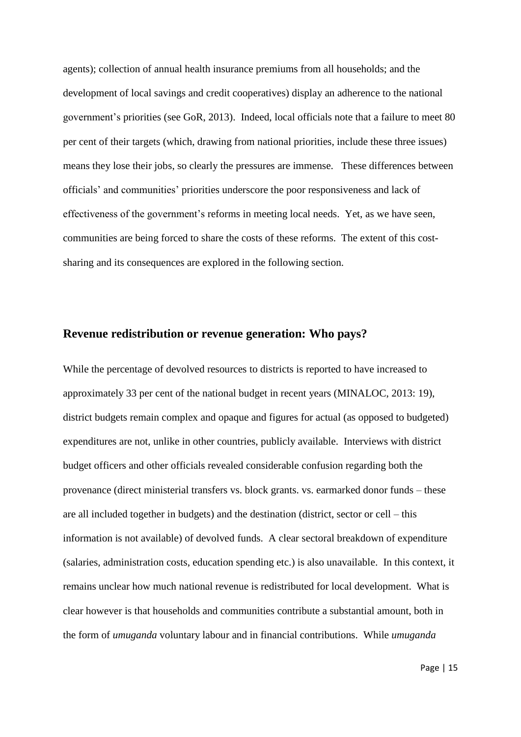agents); collection of annual health insurance premiums from all households; and the development of local savings and credit cooperatives) display an adherence to the national government's priorities (see GoR, 2013). Indeed, local officials note that a failure to meet 80 per cent of their targets (which, drawing from national priorities, include these three issues) means they lose their jobs, so clearly the pressures are immense. These differences between officials" and communities" priorities underscore the poor responsiveness and lack of effectiveness of the government"s reforms in meeting local needs. Yet, as we have seen, communities are being forced to share the costs of these reforms. The extent of this costsharing and its consequences are explored in the following section.

## **Revenue redistribution or revenue generation: Who pays?**

While the percentage of devolved resources to districts is reported to have increased to approximately 33 per cent of the national budget in recent years (MINALOC, 2013: 19), district budgets remain complex and opaque and figures for actual (as opposed to budgeted) expenditures are not, unlike in other countries, publicly available. Interviews with district budget officers and other officials revealed considerable confusion regarding both the provenance (direct ministerial transfers vs. block grants. vs. earmarked donor funds – these are all included together in budgets) and the destination (district, sector or cell – this information is not available) of devolved funds. A clear sectoral breakdown of expenditure (salaries, administration costs, education spending etc.) is also unavailable. In this context, it remains unclear how much national revenue is redistributed for local development. What is clear however is that households and communities contribute a substantial amount, both in the form of *umuganda* voluntary labour and in financial contributions. While *umuganda* 

Page | 15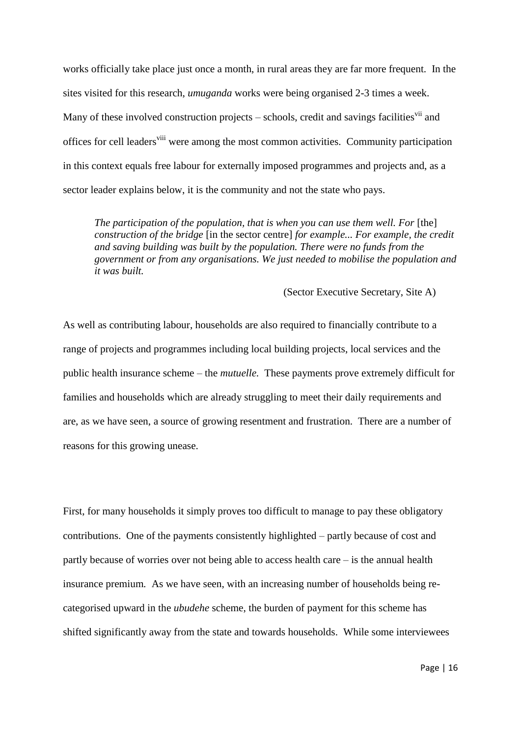works officially take place just once a month, in rural areas they are far more frequent. In the sites visited for this research, *umuganda* works were being organised 2-3 times a week. Many of these involved construction projects – schools, credit and savings facilities<sup>vii</sup> and offices for cell leaders<sup>viii</sup> were among the most common activities. Community participation in this context equals free labour for externally imposed programmes and projects and, as a sector leader explains below, it is the community and not the state who pays.

*The participation of the population, that is when you can use them well. For* [the] *construction of the bridge* [in the sector centre] *for example... For example, the credit and saving building was built by the population. There were no funds from the government or from any organisations. We just needed to mobilise the population and it was built.*

(Sector Executive Secretary, Site A)

As well as contributing labour, households are also required to financially contribute to a range of projects and programmes including local building projects, local services and the public health insurance scheme – the *mutuelle.* These payments prove extremely difficult for families and households which are already struggling to meet their daily requirements and are, as we have seen, a source of growing resentment and frustration. There are a number of reasons for this growing unease.

First, for many households it simply proves too difficult to manage to pay these obligatory contributions. One of the payments consistently highlighted – partly because of cost and partly because of worries over not being able to access health care – is the annual health insurance premium*.* As we have seen, with an increasing number of households being recategorised upward in the *ubudehe* scheme, the burden of payment for this scheme has shifted significantly away from the state and towards households. While some interviewees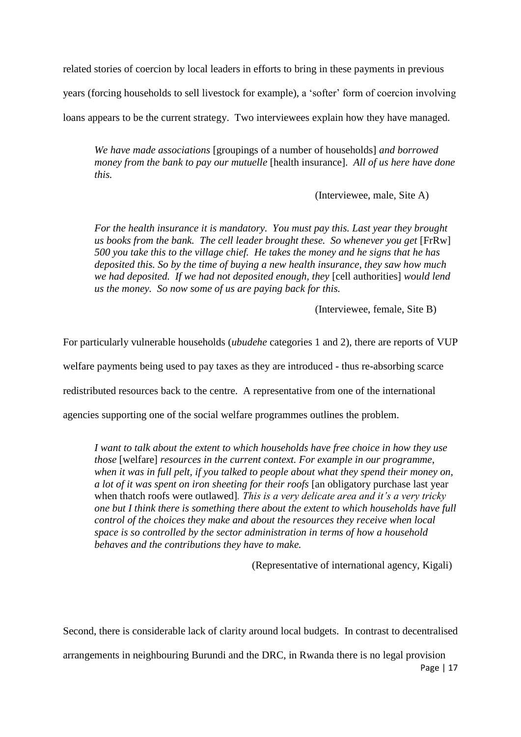related stories of coercion by local leaders in efforts to bring in these payments in previous

years (forcing households to sell livestock for example), a "softer" form of coercion involving

loans appears to be the current strategy. Two interviewees explain how they have managed.

*We have made associations* [groupings of a number of households] *and borrowed money from the bank to pay our mutuelle* [health insurance]*. All of us here have done this.*

(Interviewee, male, Site A)

*For the health insurance it is mandatory. You must pay this. Last year they brought us books from the bank. The cell leader brought these. So whenever you get* [FrRw] *500 you take this to the village chief. He takes the money and he signs that he has deposited this. So by the time of buying a new health insurance, they saw how much we had deposited. If we had not deposited enough, they* [cell authorities] *would lend us the money. So now some of us are paying back for this.*

(Interviewee, female, Site B)

For particularly vulnerable households (*ubudehe* categories 1 and 2), there are reports of VUP welfare payments being used to pay taxes as they are introduced - thus re-absorbing scarce redistributed resources back to the centre. A representative from one of the international agencies supporting one of the social welfare programmes outlines the problem.

*I want to talk about the extent to which households have free choice in how they use those* [welfare] *resources in the current context. For example in our programme*, *when it was in full pelt, if you talked to people about what they spend their money on, a lot of it was spent on iron sheeting for their roofs* [an obligatory purchase last year when thatch roofs were outlawed]*. This is a very delicate area and it"s a very tricky one but I think there is something there about the extent to which households have full control of the choices they make and about the resources they receive when local space is so controlled by the sector administration in terms of how a household behaves and the contributions they have to make.*

(Representative of international agency, Kigali)

Second, there is considerable lack of clarity around local budgets. In contrast to decentralised

Page | 17 arrangements in neighbouring Burundi and the DRC, in Rwanda there is no legal provision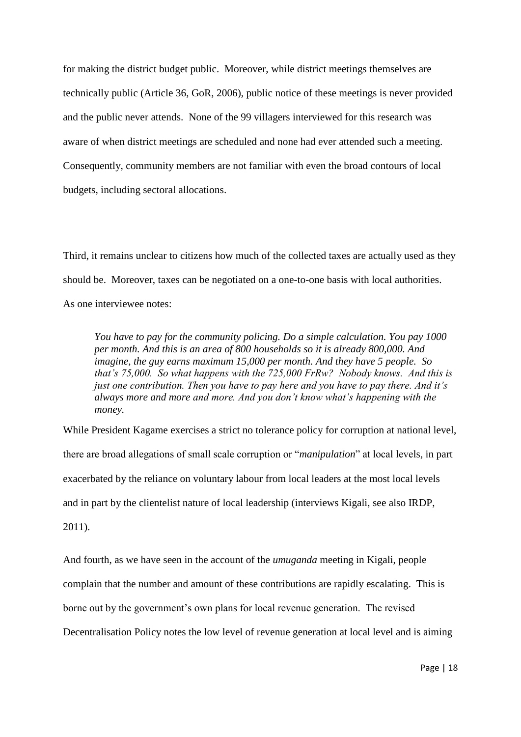for making the district budget public. Moreover, while district meetings themselves are technically public (Article 36, GoR, 2006), public notice of these meetings is never provided and the public never attends. None of the 99 villagers interviewed for this research was aware of when district meetings are scheduled and none had ever attended such a meeting. Consequently, community members are not familiar with even the broad contours of local budgets, including sectoral allocations.

Third, it remains unclear to citizens how much of the collected taxes are actually used as they should be. Moreover, taxes can be negotiated on a one-to-one basis with local authorities. As one interviewee notes:

*You have to pay for the community policing. Do a simple calculation. You pay 1000 per month. And this is an area of 800 households so it is already 800,000. And imagine, the guy earns maximum 15,000 per month. And they have 5 people. So that"s 75,000. So what happens with the 725,000 FrRw? Nobody knows. And this is just one contribution. Then you have to pay here and you have to pay there. And it"s always more and more and more. And you don"t know what"s happening with the money.* 

While President Kagame exercises a strict no tolerance policy for corruption at national level, there are broad allegations of small scale corruption or "*manipulation*" at local levels, in part exacerbated by the reliance on voluntary labour from local leaders at the most local levels and in part by the clientelist nature of local leadership (interviews Kigali, see also IRDP, 2011).

And fourth, as we have seen in the account of the *umuganda* meeting in Kigali, people complain that the number and amount of these contributions are rapidly escalating. This is borne out by the government"s own plans for local revenue generation. The revised Decentralisation Policy notes the low level of revenue generation at local level and is aiming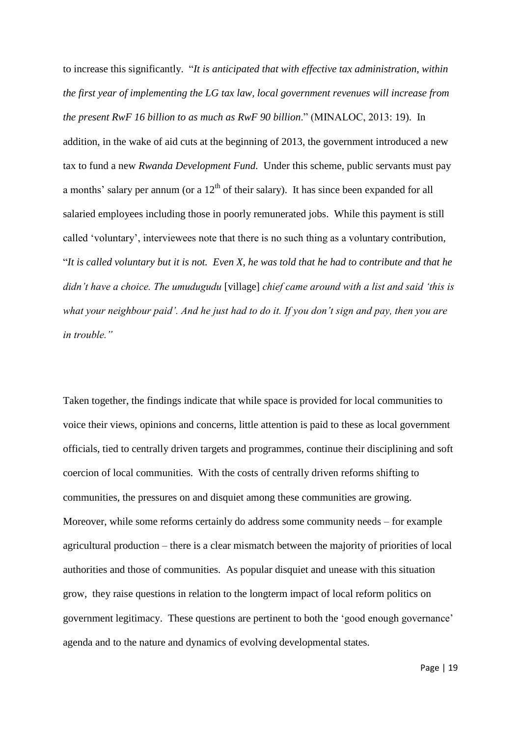to increase this significantly. "*It is anticipated that with effective tax administration, within the first year of implementing the LG tax law, local government revenues will increase from the present RwF 16 billion to as much as RwF 90 billion*." (MINALOC, 2013: 19). In addition, in the wake of aid cuts at the beginning of 2013, the government introduced a new tax to fund a new *Rwanda Development Fund.* Under this scheme, public servants must pay a months' salary per annum (or a  $12<sup>th</sup>$  of their salary). It has since been expanded for all salaried employees including those in poorly remunerated jobs. While this payment is still called "voluntary", interviewees note that there is no such thing as a voluntary contribution, "*It is called voluntary but it is not. Even X, he was told that he had to contribute and that he didn"t have a choice. The umudugudu* [village] *chief came around with a list and said "this is what your neighbour paid". And he just had to do it. If you don"t sign and pay, then you are in trouble."*

Taken together, the findings indicate that while space is provided for local communities to voice their views, opinions and concerns, little attention is paid to these as local government officials, tied to centrally driven targets and programmes, continue their disciplining and soft coercion of local communities. With the costs of centrally driven reforms shifting to communities, the pressures on and disquiet among these communities are growing. Moreover, while some reforms certainly do address some community needs – for example agricultural production – there is a clear mismatch between the majority of priorities of local authorities and those of communities. As popular disquiet and unease with this situation grow, they raise questions in relation to the longterm impact of local reform politics on government legitimacy. These questions are pertinent to both the "good enough governance" agenda and to the nature and dynamics of evolving developmental states.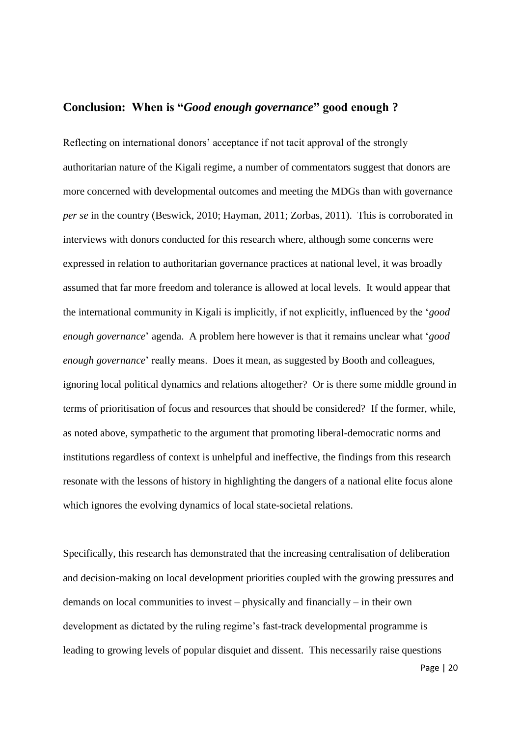# **Conclusion: When is "***Good enough governance***" good enough ?**

Reflecting on international donors' acceptance if not tacit approval of the strongly authoritarian nature of the Kigali regime, a number of commentators suggest that donors are more concerned with developmental outcomes and meeting the MDGs than with governance *per se* in the country (Beswick, 2010; Hayman, 2011; Zorbas, 2011). This is corroborated in interviews with donors conducted for this research where, although some concerns were expressed in relation to authoritarian governance practices at national level, it was broadly assumed that far more freedom and tolerance is allowed at local levels. It would appear that the international community in Kigali is implicitly, if not explicitly, influenced by the "*good enough governance*" agenda. A problem here however is that it remains unclear what "*good enough governance*' really means. Does it mean, as suggested by Booth and colleagues, ignoring local political dynamics and relations altogether? Or is there some middle ground in terms of prioritisation of focus and resources that should be considered? If the former, while, as noted above, sympathetic to the argument that promoting liberal-democratic norms and institutions regardless of context is unhelpful and ineffective, the findings from this research resonate with the lessons of history in highlighting the dangers of a national elite focus alone which ignores the evolving dynamics of local state-societal relations.

Specifically, this research has demonstrated that the increasing centralisation of deliberation and decision-making on local development priorities coupled with the growing pressures and demands on local communities to invest – physically and financially – in their own development as dictated by the ruling regime's fast-track developmental programme is leading to growing levels of popular disquiet and dissent. This necessarily raise questions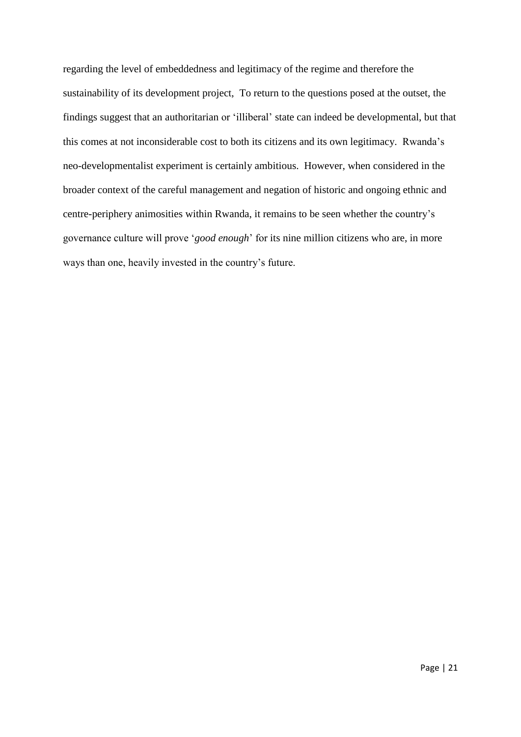regarding the level of embeddedness and legitimacy of the regime and therefore the sustainability of its development project, To return to the questions posed at the outset, the findings suggest that an authoritarian or "illiberal" state can indeed be developmental, but that this comes at not inconsiderable cost to both its citizens and its own legitimacy. Rwanda"s neo-developmentalist experiment is certainly ambitious. However, when considered in the broader context of the careful management and negation of historic and ongoing ethnic and centre-periphery animosities within Rwanda, it remains to be seen whether the country"s governance culture will prove "*good enough*" for its nine million citizens who are, in more ways than one, heavily invested in the country's future.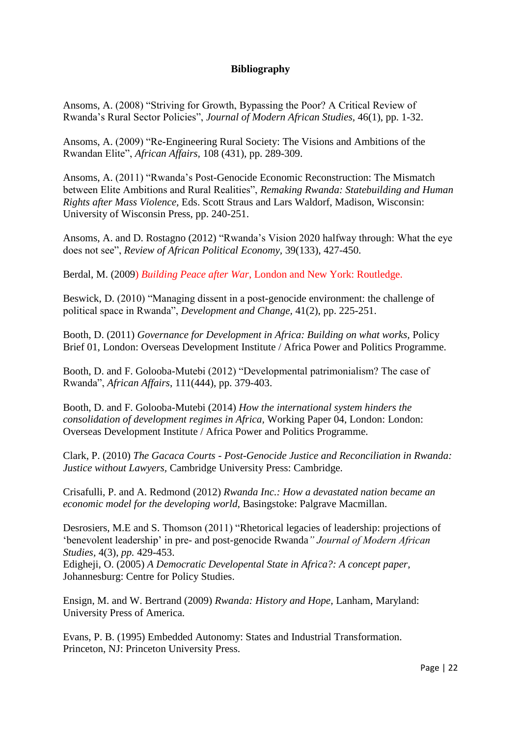### **Bibliography**

Ansoms, A. (2008) "Striving for Growth, Bypassing the Poor? A Critical Review of Rwanda"s Rural Sector Policies", *Journal of Modern African Studies,* 46(1), pp. 1-32.

Ansoms, A. (2009) "Re-Engineering Rural Society: The Visions and Ambitions of the Rwandan Elite", *African Affairs,* 108 (431), pp. 289-309.

Ansoms, A. (2011) "Rwanda"s Post-Genocide Economic Reconstruction: The Mismatch between Elite Ambitions and Rural Realities", *Remaking Rwanda: Statebuilding and Human Rights after Mass Violence,* Eds. Scott Straus and Lars Waldorf, Madison, Wisconsin: University of Wisconsin Press, pp. 240-251.

Ansoms, A. and D. Rostagno (2012) "Rwanda"s Vision 2020 halfway through: What the eye does not see", *Review of African Political Economy,* 39(133), 427-450.

Berdal, M. (2009) *Building Peace after War*, London and New York: Routledge.

Beswick, D. (2010) "Managing dissent in a post-genocide environment: the challenge of political space in Rwanda", *Development and Change,* 41(2), pp. 225-251.

Booth, D. (2011) *Governance for Development in Africa: Building on what works*, Policy Brief 01, London: Overseas Development Institute / Africa Power and Politics Programme.

Booth, D. and F. Golooba-Mutebi (2012) "Developmental patrimonialism? The case of Rwanda", *African Affairs*, 111(444), pp. 379-403.

Booth, D. and F. Golooba-Mutebi (2014) *How the international system hinders the consolidation of development regimes in Africa,* Working Paper 04, London: London: Overseas Development Institute / Africa Power and Politics Programme.

Clark, P. (2010) *The Gacaca Courts - Post-Genocide Justice and Reconciliation in Rwanda: Justice without Lawyers,* Cambridge University Press: Cambridge.

Crisafulli, P. and A. Redmond (2012) *Rwanda Inc.: How a devastated nation became an economic model for the developing world,* Basingstoke: Palgrave Macmillan.

Desrosiers, M.E and S. Thomson (2011) "Rhetorical legacies of leadership: projections of "benevolent leadership" in pre- and post-genocide Rwanda*" Journal of Modern African Studies,* 4(3), *pp.* 429-453.

Edigheji, O. (2005) *A Democratic Developental State in Africa?: A concept paper,*  Johannesburg: Centre for Policy Studies.

Ensign, M. and W. Bertrand (2009) *Rwanda: History and Hope,* Lanham, Maryland: University Press of America.

Evans, P. B. (1995) Embedded Autonomy: States and Industrial Transformation. Princeton, NJ: Princeton University Press.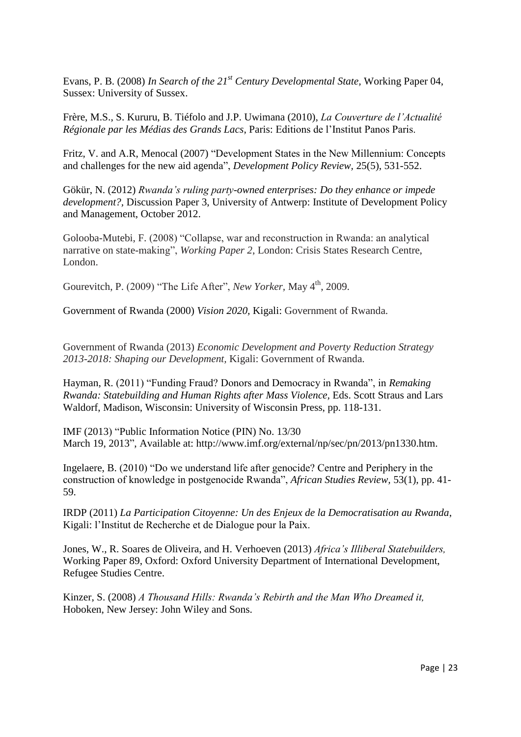Evans, P. B. (2008) *In Search of the 21st Century Developmental State,* Working Paper 04, Sussex: University of Sussex.

Frère, M.S., S. Kururu, B. Tiéfolo and J.P. Uwimana (2010), *La Couverture de l"Actualité Régionale par les Médias des Grands Lacs*, Paris: Editions de l"Institut Panos Paris.

Fritz, V. and A.R, Menocal (2007) "Development States in the New Millennium: Concepts and challenges for the new aid agenda", *Development Policy Review,* 25(5), 531-552.

Gökür, N. (2012) *Rwanda"s ruling party-owned enterprises: Do they enhance or impede development?,* Discussion Paper 3, University of Antwerp: Institute of Development Policy and Management, October 2012.

Golooba-Mutebi, F. (2008) "Collapse, war and reconstruction in Rwanda: an analytical narrative on state-making", *Working Paper 2*, London: Crisis States Research Centre, London.

Gourevitch, P. (2009) "The Life After", *New Yorker*, May 4<sup>th</sup>, 2009.

Government of Rwanda (2000) *Vision 2020,* Kigali: Government of Rwanda.

Government of Rwanda (2013) *Economic Development and Poverty Reduction Strategy 2013-2018: Shaping our Development,* Kigali: Government of Rwanda.

Hayman, R. (2011) "Funding Fraud? Donors and Democracy in Rwanda", in *Remaking Rwanda: Statebuilding and Human Rights after Mass Violence,* Eds. Scott Straus and Lars Waldorf, Madison, Wisconsin: University of Wisconsin Press, pp. 118-131.

IMF (2013) "Public Information Notice (PIN) No. 13/30 March 19, 2013", Available at: http://www.imf.org/external/np/sec/pn/2013/pn1330.htm.

Ingelaere, B. (2010) "Do we understand life after genocide? Centre and Periphery in the construction of knowledge in postgenocide Rwanda", *African Studies Review,* 53(1), pp. 41- 59.

IRDP (2011) *La Participation Citoyenne: Un des Enjeux de la Democratisation au Rwanda*, Kigali: l"Institut de Recherche et de Dialogue pour la Paix.

Jones, W., R. Soares de Oliveira, and H. Verhoeven (2013) *Africa"s Illiberal Statebuilders,*  Working Paper 89, Oxford: Oxford University Department of International Development, Refugee Studies Centre.

Kinzer, S. (2008) *A Thousand Hills: Rwanda"s Rebirth and the Man Who Dreamed it,*  Hoboken, New Jersey: John Wiley and Sons.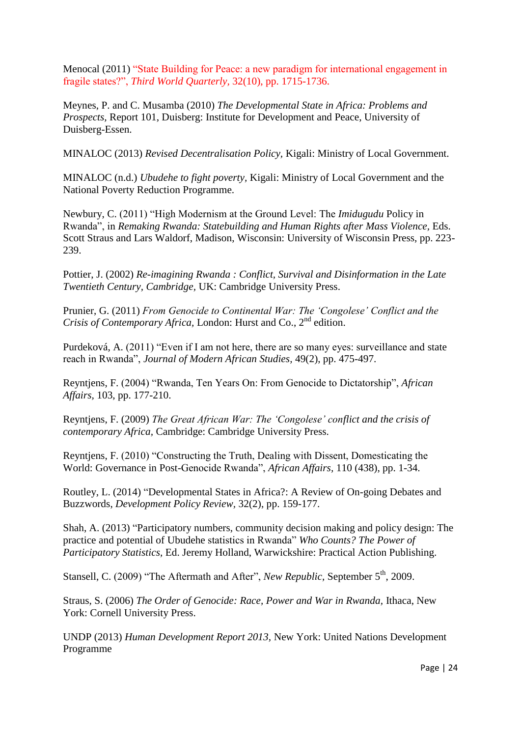Menocal (2011) "State Building for Peace: a new paradigm for international engagement in fragile states?", *Third World Quarterly,* 32(10), pp. 1715-1736.

Meynes, P. and C. Musamba (2010) *The Developmental State in Africa: Problems and Prospects,* Report 101, Duisberg: Institute for Development and Peace, University of Duisberg-Essen.

MINALOC (2013) *Revised Decentralisation Policy,* Kigali: Ministry of Local Government.

MINALOC (n.d.) *Ubudehe to fight poverty,* Kigali: Ministry of Local Government and the National Poverty Reduction Programme.

Newbury, C. (2011) "High Modernism at the Ground Level: The *Imidugudu* Policy in Rwanda", in *Remaking Rwanda: Statebuilding and Human Rights after Mass Violence,* Eds. Scott Straus and Lars Waldorf, Madison, Wisconsin: University of Wisconsin Press, pp. 223- 239.

Pottier, J. (2002) *Re-imagining Rwanda : Conflict, Survival and Disinformation in the Late Twentieth Century, Cambridge,* UK: Cambridge University Press.

Prunier, G. (2011) *From Genocide to Continental War: The "Congolese" Conflict and the Crisis of Contemporary Africa, London: Hurst and Co., 2<sup>nd</sup> edition.* 

Purdeková, A. (2011) "Even if I am not here, there are so many eyes: surveillance and state reach in Rwanda", *Journal of Modern African Studies,* 49(2), pp. 475-497.

Reyntjens, F. (2004) "Rwanda, Ten Years On: From Genocide to Dictatorship", *African Affairs,* 103, pp. 177-210.

Reyntjens, F. (2009) *The Great African War: The "Congolese" conflict and the crisis of contemporary Africa,* Cambridge: Cambridge University Press.

Reyntjens, F. (2010) "Constructing the Truth, Dealing with Dissent, Domesticating the World: Governance in Post-Genocide Rwanda", *African Affairs,* 110 (438), pp. 1-34.

Routley, L. (2014) "Developmental States in Africa?: A Review of On-going Debates and Buzzwords, *Development Policy Review,* 32(2), pp. 159-177.

Shah, A. (2013) "Participatory numbers, community decision making and policy design: The practice and potential of Ubudehe statistics in Rwanda" *Who Counts? The Power of Participatory Statistics,* Ed. Jeremy Holland, Warwickshire: Practical Action Publishing.

Stansell, C. (2009) "The Aftermath and After", *New Republic*, September 5<sup>th</sup>, 2009.

Straus, S. (2006) *The Order of Genocide: Race, Power and War in Rwanda,* Ithaca, New York: Cornell University Press.

UNDP (2013) *Human Development Report 2013,* New York: United Nations Development Programme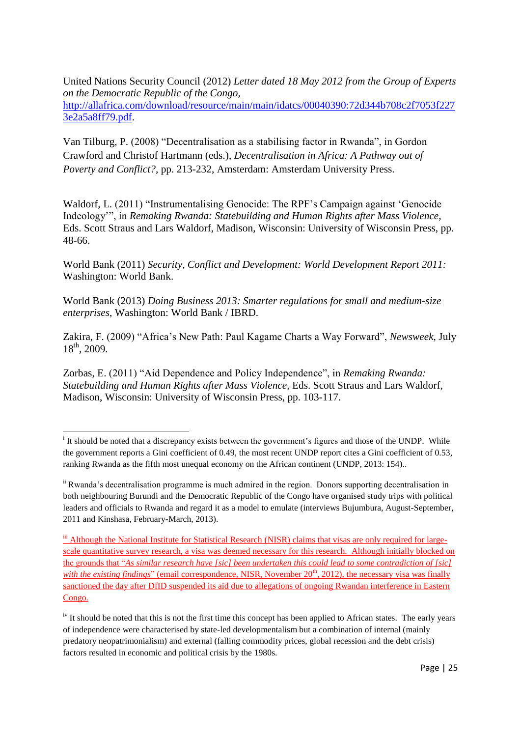United Nations Security Council (2012) *Letter dated 18 May 2012 from the Group of Experts on the Democratic Republic of the Congo,*  [http://allafrica.com/download/resource/main/main/idatcs/00040390:72d344b708c2f7053f227](http://allafrica.com/download/resource/main/main/idatcs/00040390:72d344b708c2f7053f2273e2a5a8ff79.pdf) [3e2a5a8ff79.pdf.](http://allafrica.com/download/resource/main/main/idatcs/00040390:72d344b708c2f7053f2273e2a5a8ff79.pdf)

Van Tilburg, P. (2008) "Decentralisation as a stabilising factor in Rwanda", in Gordon Crawford and Christof Hartmann (eds.), *Decentralisation in Africa: A Pathway out of Poverty and Conflict?,* pp. 213-232, Amsterdam: Amsterdam University Press.

Waldorf, L. (2011) "Instrumentalising Genocide: The RPF"s Campaign against "Genocide Indeology"", in *Remaking Rwanda: Statebuilding and Human Rights after Mass Violence,*  Eds. Scott Straus and Lars Waldorf, Madison, Wisconsin: University of Wisconsin Press, pp. 48-66.

World Bank (2011) *Security, Conflict and Development: World Development Report 2011:*  Washington: World Bank.

World Bank (2013) *Doing Business 2013: Smarter regulations for small and medium-size enterprises*, Washington: World Bank / IBRD.

Zakira, F. (2009) "Africa"s New Path: Paul Kagame Charts a Way Forward", *Newsweek,* July  $18^{th}$ , 2009.

Zorbas, E. (2011) "Aid Dependence and Policy Independence", in *Remaking Rwanda: Statebuilding and Human Rights after Mass Violence,* Eds. Scott Straus and Lars Waldorf, Madison, Wisconsin: University of Wisconsin Press, pp. 103-117.

**.** 

<sup>&</sup>lt;sup>i</sup> It should be noted that a discrepancy exists between the government's figures and those of the UNDP. While the government reports a Gini coefficient of 0.49, the most recent UNDP report cites a Gini coefficient of 0.53, ranking Rwanda as the fifth most unequal economy on the African continent (UNDP, 2013: 154)..

ii Rwanda"s decentralisation programme is much admired in the region. Donors supporting decentralisation in both neighbouring Burundi and the Democratic Republic of the Congo have organised study trips with political leaders and officials to Rwanda and regard it as a model to emulate (interviews Bujumbura, August-September, 2011 and Kinshasa, February-March, 2013).

iii Although the National Institute for Statistical Research (NISR) claims that visas are only required for largescale quantitative survey research, a visa was deemed necessary for this research. Although initially blocked on the grounds that "*As similar research have [sic] been undertaken this could lead to some contradiction of [sic] with the existing findings*" (email correspondence, NISR, November 20<sup>th</sup>, 2012), the necessary visa was finally sanctioned the day after DfID suspended its aid due to allegations of ongoing Rwandan interference in Eastern Congo.

<sup>&</sup>lt;sup>iv</sup> It should be noted that this is not the first time this concept has been applied to African states. The early years of independence were characterised by state-led developmentalism but a combination of internal (mainly predatory neopatrimonialism) and external (falling commodity prices, global recession and the debt crisis) factors resulted in economic and political crisis by the 1980s.